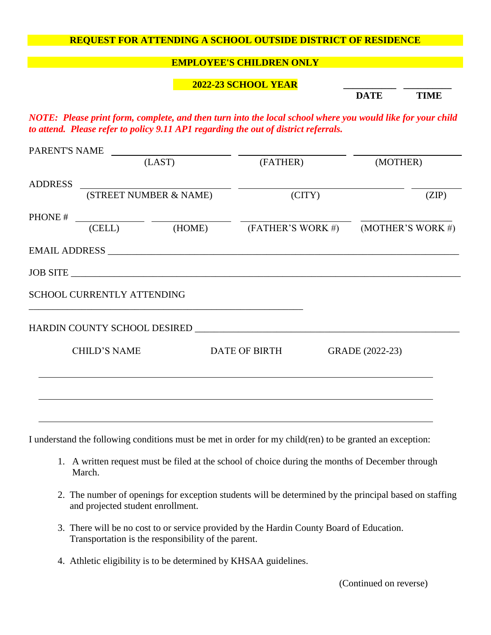## **REQUEST FOR ATTENDING A SCHOOL OUTSIDE DISTRICT OF RESIDENCE**

## **EMPLOYEE'S CHILDREN ONLY**

## **2022-23 SCHOOL YEAR \_\_\_\_\_\_\_\_\_\_\_ \_\_\_\_\_\_\_\_\_\_**

 **DATE TIME**

*NOTE: Please print form, complete, and then turn into the local school where you would like for your child to attend. Please refer to policy 9.11 AP1 regarding the out of district referrals.*

|                     | (LAST)                     |  | (FATHER)      |                 | (MOTHER)                                       |  |
|---------------------|----------------------------|--|---------------|-----------------|------------------------------------------------|--|
| <b>ADDRESS</b>      |                            |  |               |                 |                                                |  |
|                     | (STREET NUMBER & NAME)     |  |               | (CITY)          | (ZIP)                                          |  |
| PHONE #             |                            |  |               |                 |                                                |  |
|                     | (CELL)                     |  |               |                 | (HOME) $(FATHER'S WORK #)$ $(MOTHER'S WORK #)$ |  |
|                     |                            |  |               |                 |                                                |  |
|                     |                            |  | JOB SITE      |                 |                                                |  |
|                     | SCHOOL CURRENTLY ATTENDING |  |               |                 |                                                |  |
|                     |                            |  |               |                 |                                                |  |
| <b>CHILD'S NAME</b> |                            |  | DATE OF BIRTH | GRADE (2022-23) |                                                |  |
|                     |                            |  |               |                 |                                                |  |
|                     |                            |  |               |                 |                                                |  |
|                     |                            |  |               |                 |                                                |  |

I understand the following conditions must be met in order for my child(ren) to be granted an exception:

- 1. A written request must be filed at the school of choice during the months of December through March.
- 2. The number of openings for exception students will be determined by the principal based on staffing and projected student enrollment.
- 3. There will be no cost to or service provided by the Hardin County Board of Education. Transportation is the responsibility of the parent.
- 4. Athletic eligibility is to be determined by KHSAA guidelines.